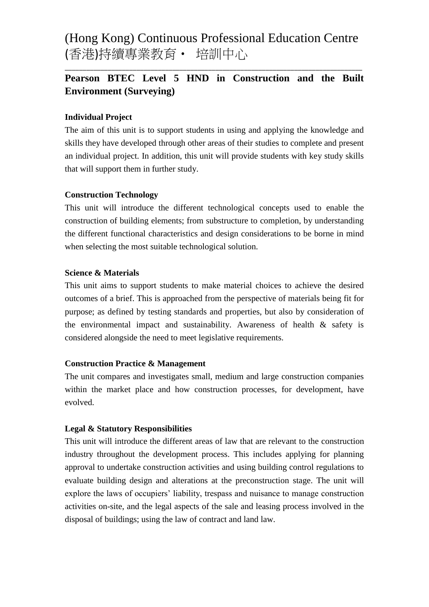(Hong Kong) Continuous Professional Education Centre (香港)持續專業教育‧ 培訓中心

# **Pearson BTEC Level 5 HND in Construction and the Built Environment (Surveying)**

\_\_\_\_\_\_\_\_\_\_\_\_\_\_\_\_\_\_\_\_\_\_\_\_\_\_\_\_\_\_\_\_\_\_\_\_\_\_\_\_\_\_\_\_\_\_\_\_\_\_\_\_\_\_\_\_\_\_\_\_\_\_\_\_\_\_\_\_\_\_\_\_\_\_\_\_\_\_\_\_\_\_\_

#### **Individual Project**

The aim of this unit is to support students in using and applying the knowledge and skills they have developed through other areas of their studies to complete and present an individual project. In addition, this unit will provide students with key study skills that will support them in further study.

#### **Construction Technology**

This unit will introduce the different technological concepts used to enable the construction of building elements; from substructure to completion, by understanding the different functional characteristics and design considerations to be borne in mind when selecting the most suitable technological solution.

#### **Science & Materials**

This unit aims to support students to make material choices to achieve the desired outcomes of a brief. This is approached from the perspective of materials being fit for purpose; as defined by testing standards and properties, but also by consideration of the environmental impact and sustainability. Awareness of health  $\&$  safety is considered alongside the need to meet legislative requirements.

#### **Construction Practice & Management**

The unit compares and investigates small, medium and large construction companies within the market place and how construction processes, for development, have evolved.

#### **Legal & Statutory Responsibilities**

This unit will introduce the different areas of law that are relevant to the construction industry throughout the development process. This includes applying for planning approval to undertake construction activities and using building control regulations to evaluate building design and alterations at the preconstruction stage. The unit will explore the laws of occupiers' liability, trespass and nuisance to manage construction activities on-site, and the legal aspects of the sale and leasing process involved in the disposal of buildings; using the law of contract and land law.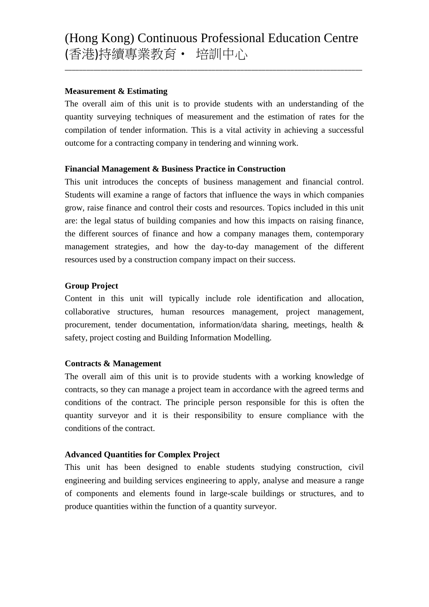\_\_\_\_\_\_\_\_\_\_\_\_\_\_\_\_\_\_\_\_\_\_\_\_\_\_\_\_\_\_\_\_\_\_\_\_\_\_\_\_\_\_\_\_\_\_\_\_\_\_\_\_\_\_\_\_\_\_\_\_\_\_\_\_\_\_\_\_\_\_\_\_\_\_\_\_\_\_\_\_\_\_\_

# **Measurement & Estimating**

The overall aim of this unit is to provide students with an understanding of the quantity surveying techniques of measurement and the estimation of rates for the compilation of tender information. This is a vital activity in achieving a successful outcome for a contracting company in tendering and winning work.

# **Financial Management & Business Practice in Construction**

This unit introduces the concepts of business management and financial control. Students will examine a range of factors that influence the ways in which companies grow, raise finance and control their costs and resources. Topics included in this unit are: the legal status of building companies and how this impacts on raising finance, the different sources of finance and how a company manages them, contemporary management strategies, and how the day-to-day management of the different resources used by a construction company impact on their success.

# **Group Project**

Content in this unit will typically include role identification and allocation, collaborative structures, human resources management, project management, procurement, tender documentation, information/data sharing, meetings, health & safety, project costing and Building Information Modelling.

# **Contracts & Management**

The overall aim of this unit is to provide students with a working knowledge of contracts, so they can manage a project team in accordance with the agreed terms and conditions of the contract. The principle person responsible for this is often the quantity surveyor and it is their responsibility to ensure compliance with the conditions of the contract.

#### **Advanced Quantities for Complex Project**

This unit has been designed to enable students studying construction, civil engineering and building services engineering to apply, analyse and measure a range of components and elements found in large-scale buildings or structures, and to produce quantities within the function of a quantity surveyor.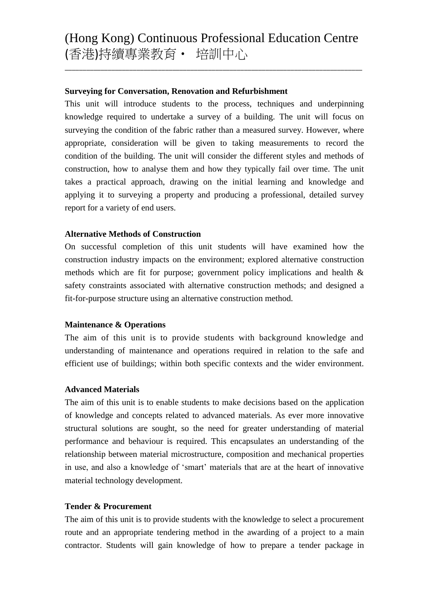\_\_\_\_\_\_\_\_\_\_\_\_\_\_\_\_\_\_\_\_\_\_\_\_\_\_\_\_\_\_\_\_\_\_\_\_\_\_\_\_\_\_\_\_\_\_\_\_\_\_\_\_\_\_\_\_\_\_\_\_\_\_\_\_\_\_\_\_\_\_\_\_\_\_\_\_\_\_\_\_\_\_\_

### **Surveying for Conversation, Renovation and Refurbishment**

This unit will introduce students to the process, techniques and underpinning knowledge required to undertake a survey of a building. The unit will focus on surveying the condition of the fabric rather than a measured survey. However, where appropriate, consideration will be given to taking measurements to record the condition of the building. The unit will consider the different styles and methods of construction, how to analyse them and how they typically fail over time. The unit takes a practical approach, drawing on the initial learning and knowledge and applying it to surveying a property and producing a professional, detailed survey report for a variety of end users.

# **Alternative Methods of Construction**

On successful completion of this unit students will have examined how the construction industry impacts on the environment; explored alternative construction methods which are fit for purpose; government policy implications and health & safety constraints associated with alternative construction methods; and designed a fit-for-purpose structure using an alternative construction method.

#### **Maintenance & Operations**

The aim of this unit is to provide students with background knowledge and understanding of maintenance and operations required in relation to the safe and efficient use of buildings; within both specific contexts and the wider environment.

#### **Advanced Materials**

The aim of this unit is to enable students to make decisions based on the application of knowledge and concepts related to advanced materials. As ever more innovative structural solutions are sought, so the need for greater understanding of material performance and behaviour is required. This encapsulates an understanding of the relationship between material microstructure, composition and mechanical properties in use, and also a knowledge of 'smart' materials that are at the heart of innovative material technology development.

#### **Tender & Procurement**

The aim of this unit is to provide students with the knowledge to select a procurement route and an appropriate tendering method in the awarding of a project to a main contractor. Students will gain knowledge of how to prepare a tender package in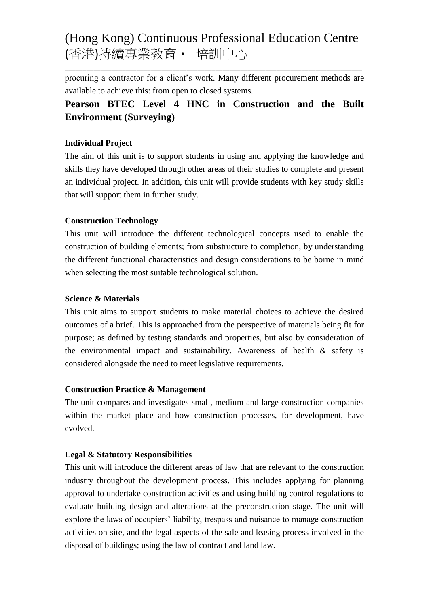# (Hong Kong) Continuous Professional Education Centre (香港)持續專業教育‧ 培訓中心

\_\_\_\_\_\_\_\_\_\_\_\_\_\_\_\_\_\_\_\_\_\_\_\_\_\_\_\_\_\_\_\_\_\_\_\_\_\_\_\_\_\_\_\_\_\_\_\_\_\_\_\_\_\_\_\_\_\_\_\_\_\_\_\_\_\_\_\_\_\_\_\_\_\_\_\_\_\_\_\_\_\_\_

procuring a contractor for a client's work. Many different procurement methods are available to achieve this: from open to closed systems.

# **Pearson BTEC Level 4 HNC in Construction and the Built Environment (Surveying)**

# **Individual Project**

The aim of this unit is to support students in using and applying the knowledge and skills they have developed through other areas of their studies to complete and present an individual project. In addition, this unit will provide students with key study skills that will support them in further study.

# **Construction Technology**

This unit will introduce the different technological concepts used to enable the construction of building elements; from substructure to completion, by understanding the different functional characteristics and design considerations to be borne in mind when selecting the most suitable technological solution.

# **Science & Materials**

This unit aims to support students to make material choices to achieve the desired outcomes of a brief. This is approached from the perspective of materials being fit for purpose; as defined by testing standards and properties, but also by consideration of the environmental impact and sustainability. Awareness of health & safety is considered alongside the need to meet legislative requirements.

# **Construction Practice & Management**

The unit compares and investigates small, medium and large construction companies within the market place and how construction processes, for development, have evolved.

# **Legal & Statutory Responsibilities**

This unit will introduce the different areas of law that are relevant to the construction industry throughout the development process. This includes applying for planning approval to undertake construction activities and using building control regulations to evaluate building design and alterations at the preconstruction stage. The unit will explore the laws of occupiers' liability, trespass and nuisance to manage construction activities on-site, and the legal aspects of the sale and leasing process involved in the disposal of buildings; using the law of contract and land law.